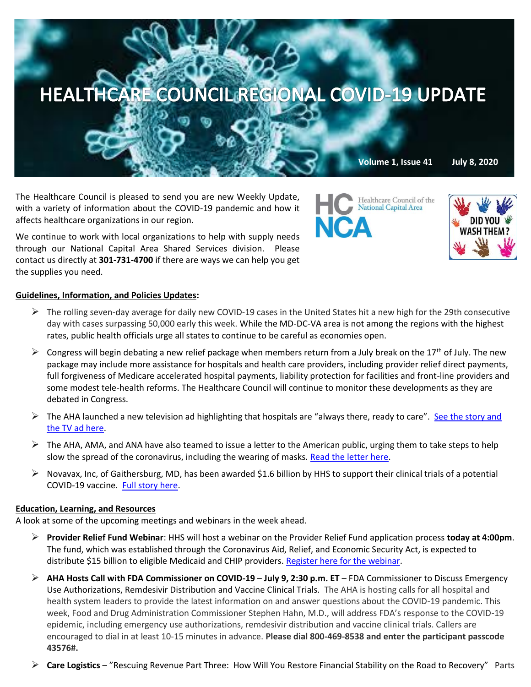

The Healthcare Council is pleased to send you are new Weekly Update, with a variety of information about the COVID-19 pandemic and how it affects healthcare organizations in our region.

We continue to work with local organizations to help with supply needs through our National Capital Area Shared Services division. Please contact us directly at **301-731-4700** if there are ways we can help you get the supplies you need.

## **Guidelines, Information, and Policies Updates:**

- $\triangleright$  The rolling seven-day average for daily new COVID-19 cases in the United States hit a new high for the 29th consecutive day with cases surpassing 50,000 early this week. While the MD-DC-VA area is not among the regions with the highest rates, public health officials urge all states to continue to be careful as economies open.
- $\triangleright$  Congress will begin debating a new relief package when members return from a July break on the 17<sup>th</sup> of July. The new package may include more assistance for hospitals and health care providers, including provider relief direct payments, full forgiveness of Medicare accelerated hospital payments, liability protection for facilities and front-line providers and some modest tele-health reforms. The Healthcare Council will continue to monitor these developments as they are debated in Congress.
- $\triangleright$  The AHA launched a new television ad highlighting that hospitals are "always there, ready to care". See the story and [the TV ad here.](https://www.aha.org/2020-01-22-updates-and-resources-novel-coronavirus-2019-cov?utm_source=newsletter&utm_medium=email&utm_content=07072020-ms-innovation&utm_campaign=aha-innovation-center)
- $\triangleright$  The AHA, AMA, and ANA have also teamed to issue a letter to the American public, urging them to take steps to help slow the spread of the coronavirus, including the wearing of masks[. Read the letter here.](https://contentsharing.net/actions/email_web_version.cfm?ep=Bdhtp-zVuqFkgQiV6-lxty0f-nrLBJWzuTngPvD-5dWakQ-wWRkhvL7yLVMBkPskE8pnuuFwqQ6xytK8EwGtGXKEXem4XqILFK4LfVRMh85KtNRC7ruUzG926IstuOPU)
- $\triangleright$  Novavax, Inc, of Gaithersburg, MD, has been awarded \$1.6 billion by HHS to support their clinical trials of a potential COVID-19 vaccine. [Full story here.](https://www.statnews.com/2020/07/07/novavax-maker-of-a-covid-19-vaccine-is-backed-by-operation-warp-speed/?mkt_tok=eyJpIjoiTVRkbE9USXdNalZtWTJFNCIsInQiOiIwRlhIeXMzVldMZVpZZkcxdTh5RUdva2lGMEladVBLcDd0cktST3pKK3ZQYXR6dktVQTRRUHV1eTkxOUlKc1F4UnZpdUVVXC9XUklGeEhtSnFrQ0ltK0tJNkNXRDRxRG5hcVpnTUttN2VHVVVibG1yUnlTZEM3WWNsMHZRQThNYXgifQ==)

## **Education, Learning, and Resources**

A look at some of the upcoming meetings and webinars in the week ahead.

- ➢ **Provider Relief Fund Webinar**: HHS will host a webinar on the Provider Relief Fund application process **today at 4:00pm**. The fund, which was established through the Coronavirus Aid, Relief, and Economic Security Act, is expected to distribute \$15 billion to eligible Medicaid and CHIP providers. [Register here for the webinar.](https://webex.webcasts.com/starthere.jsp?ei=1340952&tp_key=bb98e8c893)
- ➢ **AHA Hosts Call with FDA Commissioner on COVID-19 July 9, 2:30 p.m. ET** FDA Commissioner to Discuss Emergency Use Authorizations, Remdesivir Distribution and Vaccine Clinical Trials. The AHA is hosting calls for all hospital and health system leaders to provide the latest information on and answer questions about the COVID-19 pandemic. This week, Food and Drug Administration Commissioner Stephen Hahn, M.D., will address FDA's response to the COVID-19 epidemic, including emergency use authorizations, remdesivir distribution and vaccine clinical trials. Callers are encouraged to dial in at least 10-15 minutes in advance. **Please dial 800-469-8538 and enter the participant passcode 43576#.**
- ➢ **Care Logistics** "Rescuing Revenue Part Three: How Will You Restore Financial Stability on the Road to Recovery" Parts

Healthcare Council of the **National Capital Area NCA**